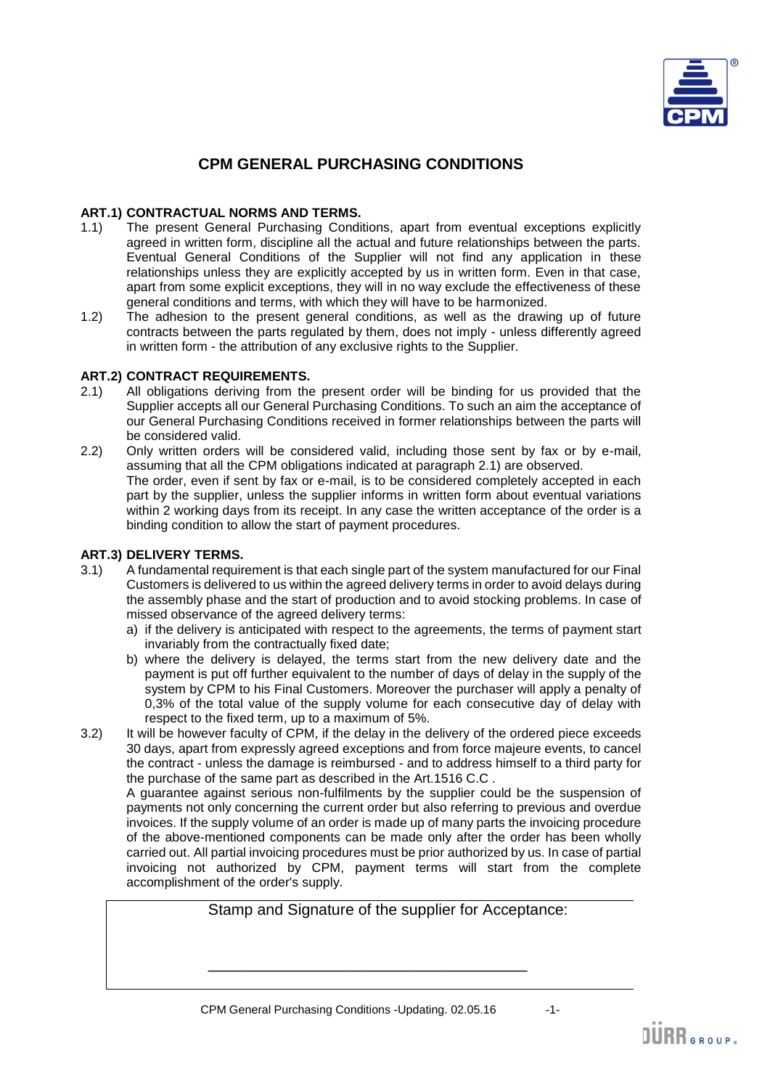

# **CPM GENERAL PURCHASING CONDITIONS**

# **ART.1) CONTRACTUAL NORMS AND TERMS.**

- 1.1) The present General Purchasing Conditions, apart from eventual exceptions explicitly agreed in written form, discipline all the actual and future relationships between the parts. Eventual General Conditions of the Supplier will not find any application in these relationships unless they are explicitly accepted by us in written form. Even in that case, apart from some explicit exceptions, they will in no way exclude the effectiveness of these general conditions and terms, with which they will have to be harmonized.
- 1.2) The adhesion to the present general conditions, as well as the drawing up of future contracts between the parts regulated by them, does not imply - unless differently agreed in written form - the attribution of any exclusive rights to the Supplier.

## **ART.2) CONTRACT REQUIREMENTS.**

- 2.1) All obligations deriving from the present order will be binding for us provided that the Supplier accepts all our General Purchasing Conditions. To such an aim the acceptance of our General Purchasing Conditions received in former relationships between the parts will be considered valid.
- 2.2) Only written orders will be considered valid, including those sent by fax or by e-mail, assuming that all the CPM obligations indicated at paragraph 2.1) are observed. The order, even if sent by fax or e-mail, is to be considered completely accepted in each part by the supplier, unless the supplier informs in written form about eventual variations within 2 working days from its receipt. In any case the written acceptance of the order is a binding condition to allow the start of payment procedures.

# **ART.3) DELIVERY TERMS.**

- 3.1) A fundamental requirement is that each single part of the system manufactured for our Final Customers is delivered to us within the agreed delivery terms in order to avoid delays during the assembly phase and the start of production and to avoid stocking problems. In case of missed observance of the agreed delivery terms:
	- a) if the delivery is anticipated with respect to the agreements, the terms of payment start invariably from the contractually fixed date;
	- b) where the delivery is delayed, the terms start from the new delivery date and the payment is put off further equivalent to the number of days of delay in the supply of the system by CPM to his Final Customers. Moreover the purchaser will apply a penalty of 0,3% of the total value of the supply volume for each consecutive day of delay with respect to the fixed term, up to a maximum of 5%.
- 3.2) It will be however faculty of CPM, if the delay in the delivery of the ordered piece exceeds 30 days, apart from expressly agreed exceptions and from force majeure events, to cancel the contract - unless the damage is reimbursed - and to address himself to a third party for the purchase of the same part as described in the Art.1516 C.C .

A guarantee against serious non-fulfilments by the supplier could be the suspension of payments not only concerning the current order but also referring to previous and overdue invoices. If the supply volume of an order is made up of many parts the invoicing procedure of the above-mentioned components can be made only after the order has been wholly carried out. All partial invoicing procedures must be prior authorized by us. In case of partial invoicing not authorized by CPM, payment terms will start from the complete accomplishment of the order's supply.

 Stamp and Signature of the supplier for Acceptance:  $\frac{1}{\sqrt{2}}$  ,  $\frac{1}{\sqrt{2}}$  ,  $\frac{1}{\sqrt{2}}$  ,  $\frac{1}{\sqrt{2}}$  ,  $\frac{1}{\sqrt{2}}$  ,  $\frac{1}{\sqrt{2}}$  ,  $\frac{1}{\sqrt{2}}$  ,  $\frac{1}{\sqrt{2}}$  ,  $\frac{1}{\sqrt{2}}$  ,  $\frac{1}{\sqrt{2}}$  ,  $\frac{1}{\sqrt{2}}$  ,  $\frac{1}{\sqrt{2}}$  ,  $\frac{1}{\sqrt{2}}$  ,  $\frac{1}{\sqrt{2}}$  ,  $\frac{1}{\sqrt{2}}$ 

DÜRR GROUP.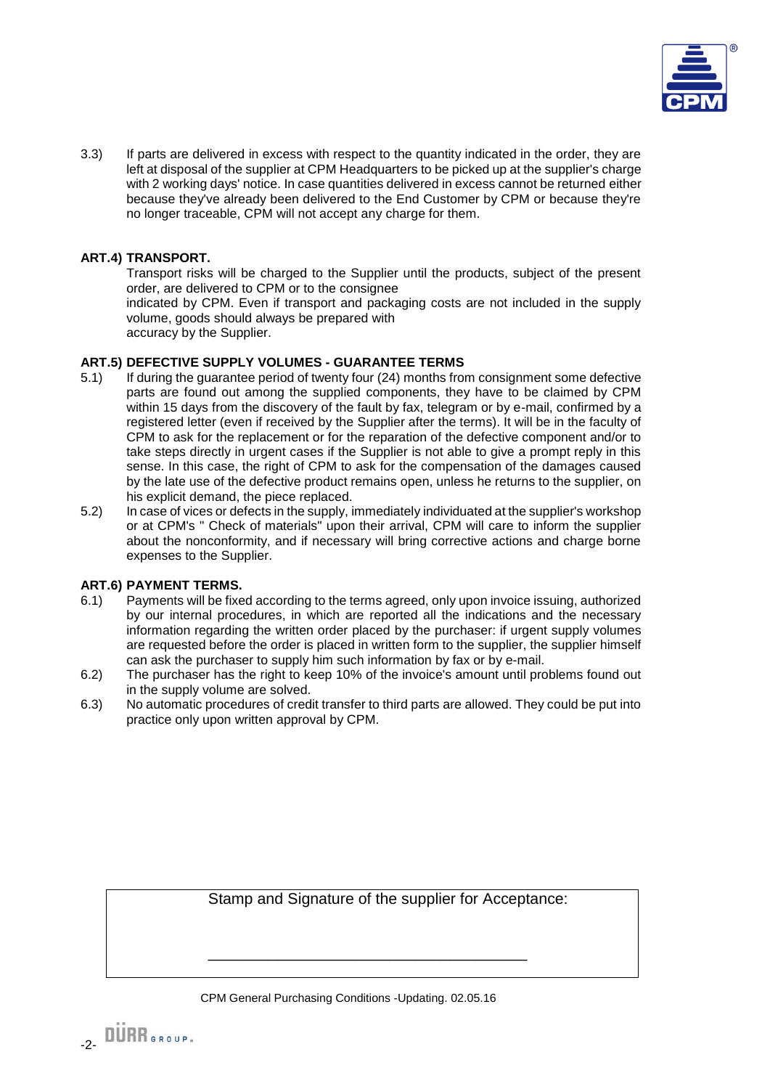

3.3) If parts are delivered in excess with respect to the quantity indicated in the order, they are left at disposal of the supplier at CPM Headquarters to be picked up at the supplier's charge with 2 working days' notice. In case quantities delivered in excess cannot be returned either because they've already been delivered to the End Customer by CPM or because they're no longer traceable, CPM will not accept any charge for them.

# **ART.4) TRANSPORT.**

Transport risks will be charged to the Supplier until the products, subject of the present order, are delivered to CPM or to the consignee

indicated by CPM. Even if transport and packaging costs are not included in the supply volume, goods should always be prepared with

accuracy by the Supplier.

## **ART.5) DEFECTIVE SUPPLY VOLUMES - GUARANTEE TERMS**

- 5.1) If during the guarantee period of twenty four (24) months from consignment some defective parts are found out among the supplied components, they have to be claimed by CPM within 15 days from the discovery of the fault by fax, telegram or by e-mail, confirmed by a registered letter (even if received by the Supplier after the terms). It will be in the faculty of CPM to ask for the replacement or for the reparation of the defective component and/or to take steps directly in urgent cases if the Supplier is not able to give a prompt reply in this sense. In this case, the right of CPM to ask for the compensation of the damages caused by the late use of the defective product remains open, unless he returns to the supplier, on his explicit demand, the piece replaced.
- 5.2) In case of vices or defects in the supply, immediately individuated at the supplier's workshop or at CPM's " Check of materials" upon their arrival, CPM will care to inform the supplier about the nonconformity, and if necessary will bring corrective actions and charge borne expenses to the Supplier.

## **ART.6) PAYMENT TERMS.**

- 6.1) Payments will be fixed according to the terms agreed, only upon invoice issuing, authorized by our internal procedures, in which are reported all the indications and the necessary information regarding the written order placed by the purchaser: if urgent supply volumes are requested before the order is placed in written form to the supplier, the supplier himself can ask the purchaser to supply him such information by fax or by e-mail.
- 6.2) The purchaser has the right to keep 10% of the invoice's amount until problems found out in the supply volume are solved.
- 6.3) No automatic procedures of credit transfer to third parts are allowed. They could be put into practice only upon written approval by CPM.

Stamp and Signature of the supplier for Acceptance:

CPM General Purchasing Conditions -Updating. 02.05.16

 $\frac{1}{\sqrt{2}}$  ,  $\frac{1}{\sqrt{2}}$  ,  $\frac{1}{\sqrt{2}}$  ,  $\frac{1}{\sqrt{2}}$  ,  $\frac{1}{\sqrt{2}}$  ,  $\frac{1}{\sqrt{2}}$  ,  $\frac{1}{\sqrt{2}}$  ,  $\frac{1}{\sqrt{2}}$  ,  $\frac{1}{\sqrt{2}}$  ,  $\frac{1}{\sqrt{2}}$  ,  $\frac{1}{\sqrt{2}}$  ,  $\frac{1}{\sqrt{2}}$  ,  $\frac{1}{\sqrt{2}}$  ,  $\frac{1}{\sqrt{2}}$  ,  $\frac{1}{\sqrt{2}}$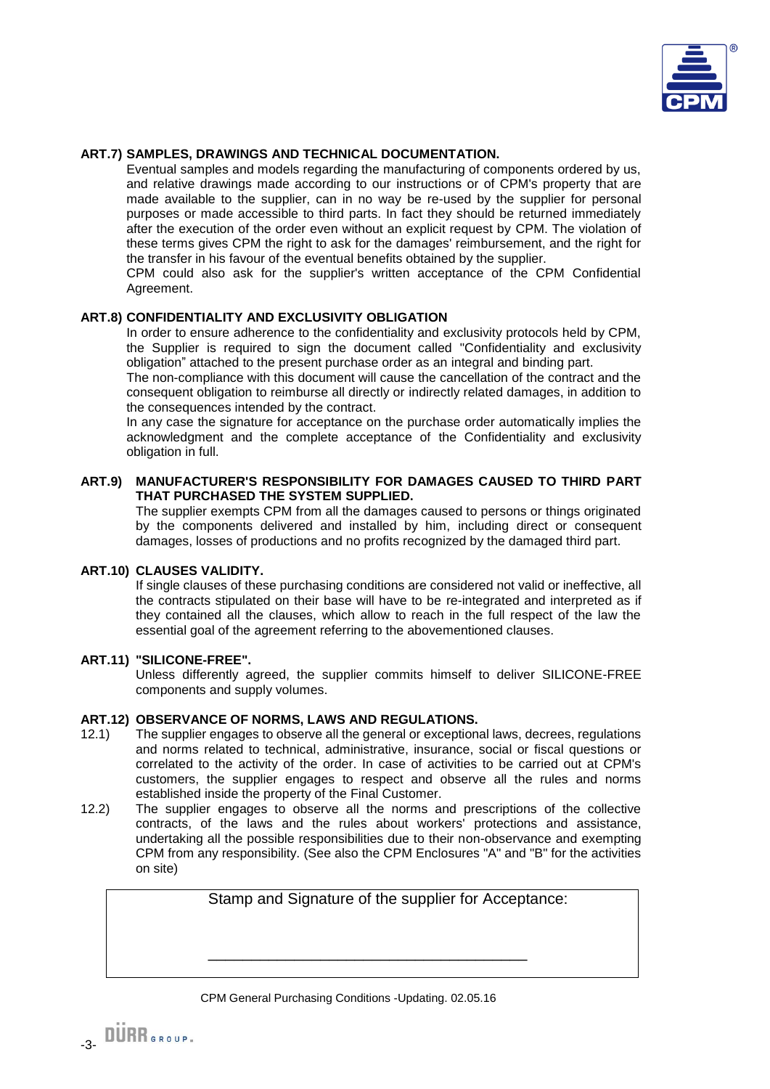

## **ART.7) SAMPLES, DRAWINGS AND TECHNICAL DOCUMENTATION.**

Eventual samples and models regarding the manufacturing of components ordered by us, and relative drawings made according to our instructions or of CPM's property that are made available to the supplier, can in no way be re-used by the supplier for personal purposes or made accessible to third parts. In fact they should be returned immediately after the execution of the order even without an explicit request by CPM. The violation of these terms gives CPM the right to ask for the damages' reimbursement, and the right for the transfer in his favour of the eventual benefits obtained by the supplier.

CPM could also ask for the supplier's written acceptance of the CPM Confidential Agreement.

## **ART.8) CONFIDENTIALITY AND EXCLUSIVITY OBLIGATION**

In order to ensure adherence to the confidentiality and exclusivity protocols held by CPM, the Supplier is required to sign the document called "Confidentiality and exclusivity obligation" attached to the present purchase order as an integral and binding part.

The non-compliance with this document will cause the cancellation of the contract and the consequent obligation to reimburse all directly or indirectly related damages, in addition to the consequences intended by the contract.

In any case the signature for acceptance on the purchase order automatically implies the acknowledgment and the complete acceptance of the Confidentiality and exclusivity obligation in full.

## **ART.9) MANUFACTURER'S RESPONSIBILITY FOR DAMAGES CAUSED TO THIRD PART THAT PURCHASED THE SYSTEM SUPPLIED.**

The supplier exempts CPM from all the damages caused to persons or things originated by the components delivered and installed by him, including direct or consequent damages, losses of productions and no profits recognized by the damaged third part.

## **ART.10) CLAUSES VALIDITY.**

If single clauses of these purchasing conditions are considered not valid or ineffective, all the contracts stipulated on their base will have to be re-integrated and interpreted as if they contained all the clauses, which allow to reach in the full respect of the law the essential goal of the agreement referring to the abovementioned clauses.

## **ART.11) "SILICONE-FREE".**

Unless differently agreed, the supplier commits himself to deliver SILICONE-FREE components and supply volumes.

## **ART.12) OBSERVANCE OF NORMS, LAWS AND REGULATIONS.**

- 12.1) The supplier engages to observe all the general or exceptional laws, decrees, regulations and norms related to technical, administrative, insurance, social or fiscal questions or correlated to the activity of the order. In case of activities to be carried out at CPM's customers, the supplier engages to respect and observe all the rules and norms established inside the property of the Final Customer.
- 12.2) The supplier engages to observe all the norms and prescriptions of the collective contracts, of the laws and the rules about workers' protections and assistance, undertaking all the possible responsibilities due to their non-observance and exempting CPM from any responsibility. (See also the CPM Enclosures "A" and "B" for the activities on site)

Stamp and Signature of the supplier for Acceptance:

CPM General Purchasing Conditions -Updating. 02.05.16

 $\frac{1}{\sqrt{2}}$  ,  $\frac{1}{\sqrt{2}}$  ,  $\frac{1}{\sqrt{2}}$  ,  $\frac{1}{\sqrt{2}}$  ,  $\frac{1}{\sqrt{2}}$  ,  $\frac{1}{\sqrt{2}}$  ,  $\frac{1}{\sqrt{2}}$  ,  $\frac{1}{\sqrt{2}}$  ,  $\frac{1}{\sqrt{2}}$  ,  $\frac{1}{\sqrt{2}}$  ,  $\frac{1}{\sqrt{2}}$  ,  $\frac{1}{\sqrt{2}}$  ,  $\frac{1}{\sqrt{2}}$  ,  $\frac{1}{\sqrt{2}}$  ,  $\frac{1}{\sqrt{2}}$